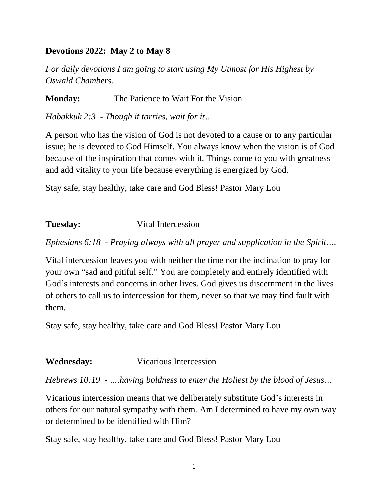### **Devotions 2022: May 2 to May 8**

*For daily devotions I am going to start using My Utmost for His Highest by Oswald Chambers.*

**Monday:** The Patience to Wait For the Vision

*Habakkuk 2:3 - Though it tarries, wait for it…*

A person who has the vision of God is not devoted to a cause or to any particular issue; he is devoted to God Himself. You always know when the vision is of God because of the inspiration that comes with it. Things come to you with greatness and add vitality to your life because everything is energized by God.

Stay safe, stay healthy, take care and God Bless! Pastor Mary Lou

#### **Tuesday:** Vital Intercession

*Ephesians 6:18 - Praying always with all prayer and supplication in the Spirit….*

Vital intercession leaves you with neither the time nor the inclination to pray for your own "sad and pitiful self." You are completely and entirely identified with God's interests and concerns in other lives. God gives us discernment in the lives of others to call us to intercession for them, never so that we may find fault with them.

Stay safe, stay healthy, take care and God Bless! Pastor Mary Lou

**Wednesday:** Vicarious Intercession

*Hebrews 10:19 - ….having boldness to enter the Holiest by the blood of Jesus…*

Vicarious intercession means that we deliberately substitute God's interests in others for our natural sympathy with them. Am I determined to have my own way or determined to be identified with Him?

Stay safe, stay healthy, take care and God Bless! Pastor Mary Lou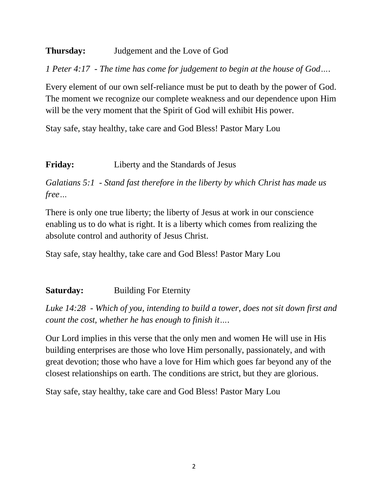## **Thursday:** Judgement and the Love of God

*1 Peter 4:17 - The time has come for judgement to begin at the house of God….*

Every element of our own self-reliance must be put to death by the power of God. The moment we recognize our complete weakness and our dependence upon Him will be the very moment that the Spirit of God will exhibit His power.

Stay safe, stay healthy, take care and God Bless! Pastor Mary Lou

# **Friday:** Liberty and the Standards of Jesus

*Galatians 5:1 - Stand fast therefore in the liberty by which Christ has made us free…*

There is only one true liberty; the liberty of Jesus at work in our conscience enabling us to do what is right. It is a liberty which comes from realizing the absolute control and authority of Jesus Christ.

Stay safe, stay healthy, take care and God Bless! Pastor Mary Lou

# **Saturday:** Building For Eternity

*Luke 14:28 - Which of you, intending to build a tower, does not sit down first and count the cost, whether he has enough to finish it….*

Our Lord implies in this verse that the only men and women He will use in His building enterprises are those who love Him personally, passionately, and with great devotion; those who have a love for Him which goes far beyond any of the closest relationships on earth. The conditions are strict, but they are glorious.

Stay safe, stay healthy, take care and God Bless! Pastor Mary Lou